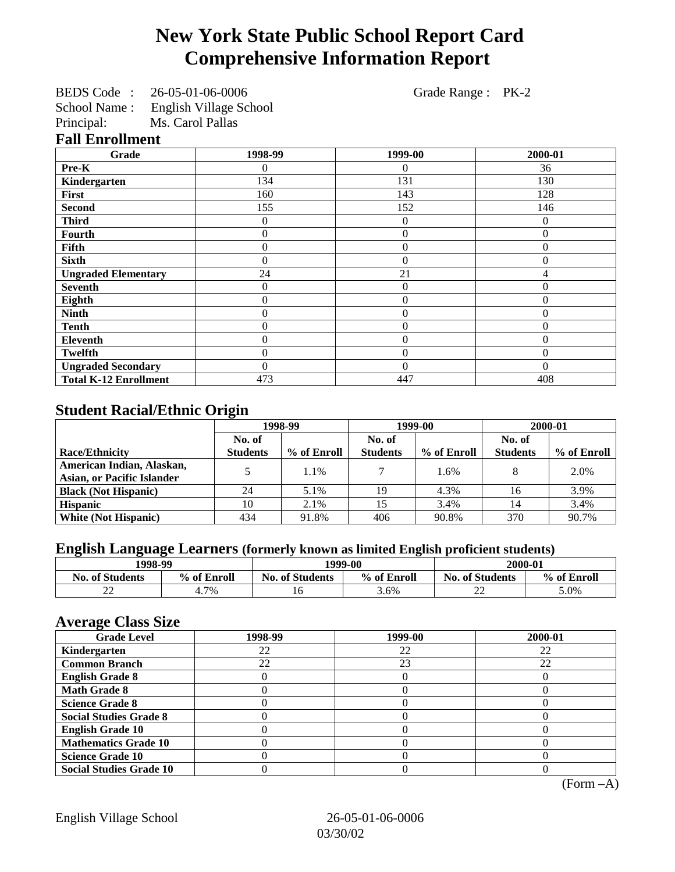# **New York State Public School Report Card Comprehensive Information Report**

| BEDS Code:   | 26-05-01-06-0006       |
|--------------|------------------------|
| School Name: | English Village School |
| Principal:   | Ms. Carol Pallas       |

Grade Range : PK-2

## **Fall Enrollment**

| Grade                        | 1998-99        | 1999-00        | 2000-01      |
|------------------------------|----------------|----------------|--------------|
| Pre-K                        | 0              | 0              | 36           |
| Kindergarten                 | 134            | 131            | 130          |
| First                        | 160            | 143            | 128          |
| <b>Second</b>                | 155            | 152            | 146          |
| <b>Third</b>                 | 0              | $\theta$       | $\theta$     |
| <b>Fourth</b>                | 0              | $\theta$       | $\theta$     |
| Fifth                        | 0              | $\overline{0}$ | $\theta$     |
| <b>Sixth</b>                 | 0              | $\overline{0}$ | $\theta$     |
| <b>Ungraded Elementary</b>   | 24             | 21             | 4            |
| <b>Seventh</b>               | 0              | $\overline{0}$ | $\Omega$     |
| Eighth                       | $\overline{0}$ | $\theta$       | $\mathbf{0}$ |
| <b>Ninth</b>                 | 0              | $\overline{0}$ | $\theta$     |
| <b>Tenth</b>                 | 0              | $\overline{0}$ | $\theta$     |
| Eleventh                     | 0              | $\overline{0}$ | $\mathbf{0}$ |
| <b>Twelfth</b>               | 0              | $\overline{0}$ | $\theta$     |
| <b>Ungraded Secondary</b>    | 0              | $\theta$       | $\Omega$     |
| <b>Total K-12 Enrollment</b> | 473            | 447            | 408          |

## **Student Racial/Ethnic Origin**

|                                   | 1998-99         |             | 1999-00         |             | 2000-01         |             |
|-----------------------------------|-----------------|-------------|-----------------|-------------|-----------------|-------------|
|                                   | No. of          |             | No. of          |             | No. of          |             |
| <b>Race/Ethnicity</b>             | <b>Students</b> | % of Enroll | <b>Students</b> | % of Enroll | <b>Students</b> | % of Enroll |
| American Indian, Alaskan,         |                 | 1.1%        |                 | 1.6%        |                 | 2.0%        |
| <b>Asian, or Pacific Islander</b> |                 |             |                 |             |                 |             |
| <b>Black (Not Hispanic)</b>       | 24              | 5.1%        | 19              | 4.3%        | 16              | 3.9%        |
| <b>Hispanic</b>                   | 10              | 2.1%        | 15              | 3.4%        | 14              | 3.4%        |
| <b>White (Not Hispanic)</b>       | 434             | 91.8%       | 406             | 90.8%       | 370             | 90.7%       |

# **English Language Learners (formerly known as limited English proficient students)**

|                        | 1998-99     |                        | 1999-00     |                        | 2000-01     |
|------------------------|-------------|------------------------|-------------|------------------------|-------------|
| <b>No. of Students</b> | % of Enroll | <b>No. of Students</b> | % of Enroll | <b>No. of Students</b> | % of Enroll |
| $\bigcap$<br>∠∠        | 7%          | 16                     | 3.6%        | $\sim$<br>∠∠           | 5.0%        |

## **Average Class Size**

| -- <i>--</i> --<br><b>Grade Level</b> | 1998-99 | 1999-00 | 2000-01 |
|---------------------------------------|---------|---------|---------|
| Kindergarten                          | 22      | 22      | 22      |
| <b>Common Branch</b>                  | 22      | 23      | 22      |
| <b>English Grade 8</b>                |         |         |         |
| <b>Math Grade 8</b>                   |         |         |         |
| <b>Science Grade 8</b>                |         |         |         |
| <b>Social Studies Grade 8</b>         |         |         |         |
| <b>English Grade 10</b>               |         |         |         |
| <b>Mathematics Grade 10</b>           |         |         |         |
| <b>Science Grade 10</b>               |         |         |         |
| <b>Social Studies Grade 10</b>        |         |         |         |

(Form –A)